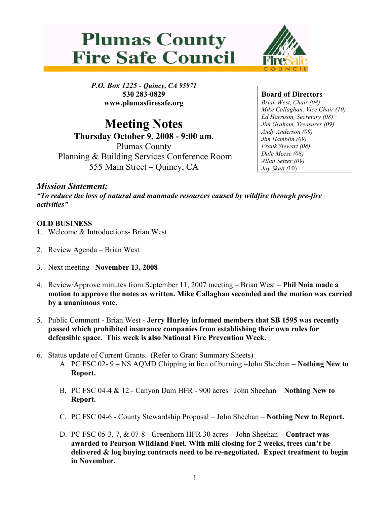



P.O. Box 1225 - Quincy, CA 95971 530 283-0829 www.plumasfiresafe.org

Meeting Notes Thursday October 9, 2008 - 9:00 am. Plumas County Planning & Building Services Conference Room 555 Main Street – Quincy, CA

Board of Directors Brian West, Chair (08) Mike Callaghan, Vice Chair (10) Ed Harrison, Secretary (08) Jim Graham, Treasurer (09) Andy Anderson (09) Jim Hamblin (09) Frank Stewart (08) Dale Meese (08) Allan Setzer (09) Jay Skutt (10)

## Mission Statement:

"To reduce the loss of natural and manmade resources caused by wildfire through pre-fire activities"

## OLD BUSINESS

- 1. Welcome & Introductions- Brian West
- 2. Review Agenda Brian West
- 3. Next meeting –November 13, 2008
- 4. Review/Approve minutes from September 11, 2007 meeting Brian West Phil Noia made a motion to approve the notes as written. Mike Callaghan seconded and the motion was carried by a unanimous vote.
- 5. Public Comment Brian West Jerry Hurley informed members that SB 1595 was recently passed which prohibited insurance companies from establishing their own rules for defensible space. This week is also National Fire Prevention Week.
- 6. Status update of Current Grants. (Refer to Grant Summary Sheets)
	- A. PC FSC 02- 9 NS AQMD Chipping in lieu of burning –John Sheehan Nothing New to Report.
	- B. PC FSC 04-4 & 12 Canyon Dam HFR 900 acres– John Sheehan Nothing New to Report.
	- C. PC FSC 04-6 County Stewardship Proposal John Sheehan Nothing New to Report.
	- D. PC FSC 05-3, 7, & 07-8 Greenhorn HFR 30 acres John Sheehan Contract was awarded to Pearson Wildland Fuel. With mill closing for 2 weeks, trees can't be delivered & log buying contracts need to be re-negotiated. Expect treatment to begin in November.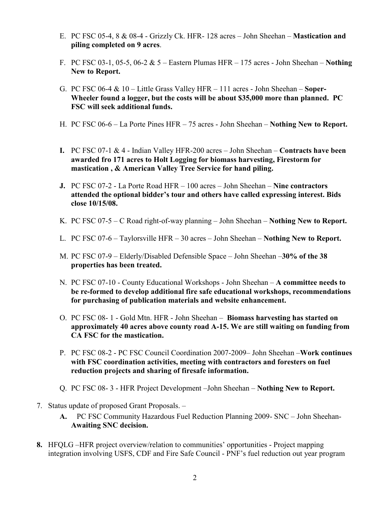- E. PC FSC 05-4, 8 & 08-4 Grizzly Ck. HFR- 128 acres John Sheehan Mastication and piling completed on 9 acres.
- F. PC FSC 03-1, 05-5, 06-2  $& 5$  Eastern Plumas HFR 175 acres John Sheehan Nothing New to Report.
- G. PC FSC 06-4 & 10 Little Grass Valley HFR 111 acres John Sheehan Soper-Wheeler found a logger, but the costs will be about \$35,000 more than planned. PC FSC will seek additional funds.
- H. PC FSC 06-6 La Porte Pines HFR 75 acres John Sheehan Nothing New to Report.
- I. PC FSC 07-1 & 4 Indian Valley HFR-200 acres John Sheehan Contracts have been awarded fro 171 acres to Holt Logging for biomass harvesting, Firestorm for mastication , & American Valley Tree Service for hand piling.
- J. PC FSC 07-2 La Porte Road HFR 100 acres John Sheehan Nine contractors attended the optional bidder's tour and others have called expressing interest. Bids close 10/15/08.
- K. PC FSC 07-5 C Road right-of-way planning John Sheehan Nothing New to Report.
- L. PC FSC 07-6 Taylorsville HFR 30 acres John Sheehan Nothing New to Report.
- M. PC FSC 07-9 Elderly/Disabled Defensible Space John Sheehan –30% of the 38 properties has been treated.
- N. PC FSC 07-10 County Educational Workshops John Sheehan A committee needs to be re-formed to develop additional fire safe educational workshops, recommendations for purchasing of publication materials and website enhancement.
- O. PC FSC 08- 1 Gold Mtn. HFR John Sheehan Biomass harvesting has started on approximately 40 acres above county road A-15. We are still waiting on funding from CA FSC for the mastication.
- P. PC FSC 08-2 PC FSC Council Coordination 2007-2009– John Sheehan –Work continues with FSC coordination activities, meeting with contractors and foresters on fuel reduction projects and sharing of firesafe information.
- Q. PC FSC 08- 3 HFR Project Development –John Sheehan Nothing New to Report.
- 7. Status update of proposed Grant Proposals.
	- A. PC FSC Community Hazardous Fuel Reduction Planning 2009- SNC John Sheehan-Awaiting SNC decision.
- 8. HFQLG –HFR project overview/relation to communities' opportunities Project mapping integration involving USFS, CDF and Fire Safe Council - PNF's fuel reduction out year program